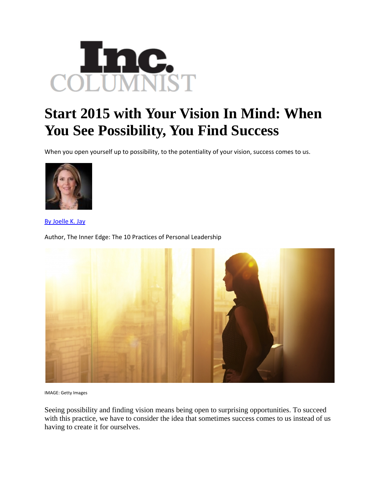

## **Start 2015 with Your Vision In Mind: When You See Possibility, You Find Success**

When you open yourself up to possibility, to the potentiality of your vision, success comes to us.



By Joelle K. Jay

Author, The Inner Edge: The 10 Practices of Personal Leadership



IMAGE: Getty Images

Seeing possibility and finding vision means being open to surprising opportunities. To succeed with this practice, we have to consider the idea that sometimes success comes to us instead of us having to create it for ourselves.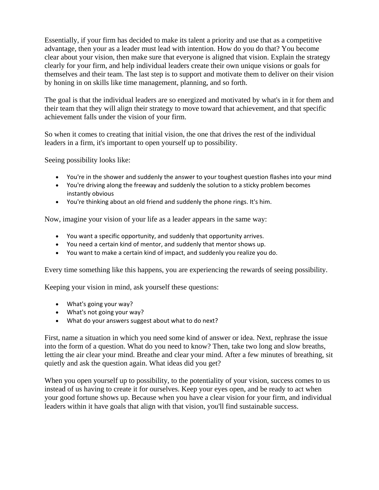Essentially, if your firm has decided to make its talent a priority and use that as a competitive advantage, then your as a leader must lead with intention. How do you do that? You become clear about your vision, then make sure that everyone is aligned that vision. Explain the strategy clearly for your firm, and help individual leaders create their own unique visions or goals for themselves and their team. The last step is to support and motivate them to deliver on their vision by honing in on skills like time management, planning, and so forth.

The goal is that the individual leaders are so energized and motivated by what's in it for them and their team that they will align their strategy to move toward that achievement, and that specific achievement falls under the vision of your firm.

So when it comes to creating that initial vision, the one that drives the rest of the individual leaders in a firm, it's important to open yourself up to possibility.

Seeing possibility looks like:

- You're in the shower and suddenly the answer to your toughest question flashes into your mind
- You're driving along the freeway and suddenly the solution to a sticky problem becomes instantly obvious
- You're thinking about an old friend and suddenly the phone rings. It's him.

Now, imagine your vision of your life as a leader appears in the same way:

- You want a specific opportunity, and suddenly that opportunity arrives.
- You need a certain kind of mentor, and suddenly that mentor shows up.
- You want to make a certain kind of impact, and suddenly you realize you do.

Every time something like this happens, you are experiencing the rewards of seeing possibility.

Keeping your vision in mind, ask yourself these questions:

- What's going your way?
- What's not going your way?
- What do your answers suggest about what to do next?

First, name a situation in which you need some kind of answer or idea. Next, rephrase the issue into the form of a question. What do you need to know? Then, take two long and slow breaths, letting the air clear your mind. Breathe and clear your mind. After a few minutes of breathing, sit quietly and ask the question again. What ideas did you get?

When you open yourself up to possibility, to the potentiality of your vision, success comes to us instead of us having to create it for ourselves. Keep your eyes open, and be ready to act when your good fortune shows up. Because when you have a clear vision for your firm, and individual leaders within it have goals that align with that vision, you'll find sustainable success.